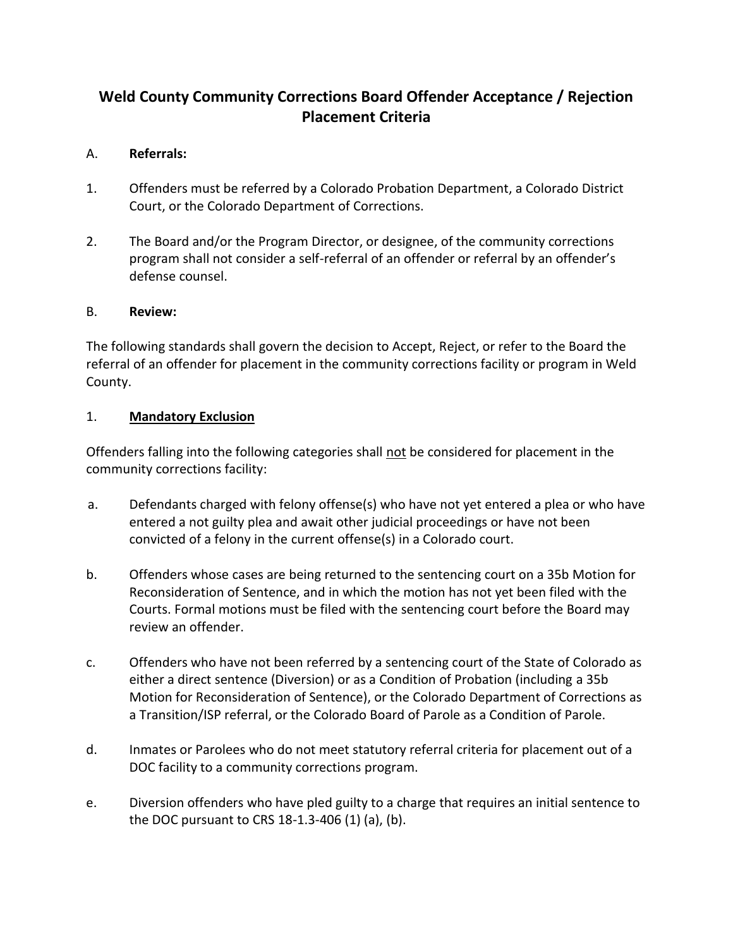# **Weld County Community Corrections Board Offender Acceptance / Rejection Placement Criteria**

## A. **Referrals:**

- 1. Offenders must be referred by a Colorado Probation Department, a Colorado District Court, or the Colorado Department of Corrections.
- 2. The Board and/or the Program Director, or designee, of the community corrections program shall not consider a self-referral of an offender or referral by an offender's defense counsel.

#### B. **Review:**

The following standards shall govern the decision to Accept, Reject, or refer to the Board the referral of an offender for placement in the community corrections facility or program in Weld County.

#### 1. **Mandatory Exclusion**

Offenders falling into the following categories shall not be considered for placement in the community corrections facility:

- a. Defendants charged with felony offense(s) who have not yet entered a plea or who have entered a not guilty plea and await other judicial proceedings or have not been convicted of a felony in the current offense(s) in a Colorado court.
- b. Offenders whose cases are being returned to the sentencing court on a 35b Motion for Reconsideration of Sentence, and in which the motion has not yet been filed with the Courts. Formal motions must be filed with the sentencing court before the Board may review an offender.
- c. Offenders who have not been referred by a sentencing court of the State of Colorado as either a direct sentence (Diversion) or as a Condition of Probation (including a 35b Motion for Reconsideration of Sentence), or the Colorado Department of Corrections as a Transition/ISP referral, or the Colorado Board of Parole as a Condition of Parole.
- d. Inmates or Parolees who do not meet statutory referral criteria for placement out of a DOC facility to a community corrections program.
- e. Diversion offenders who have pled guilty to a charge that requires an initial sentence to the DOC pursuant to CRS 18-1.3-406 (1) (a), (b).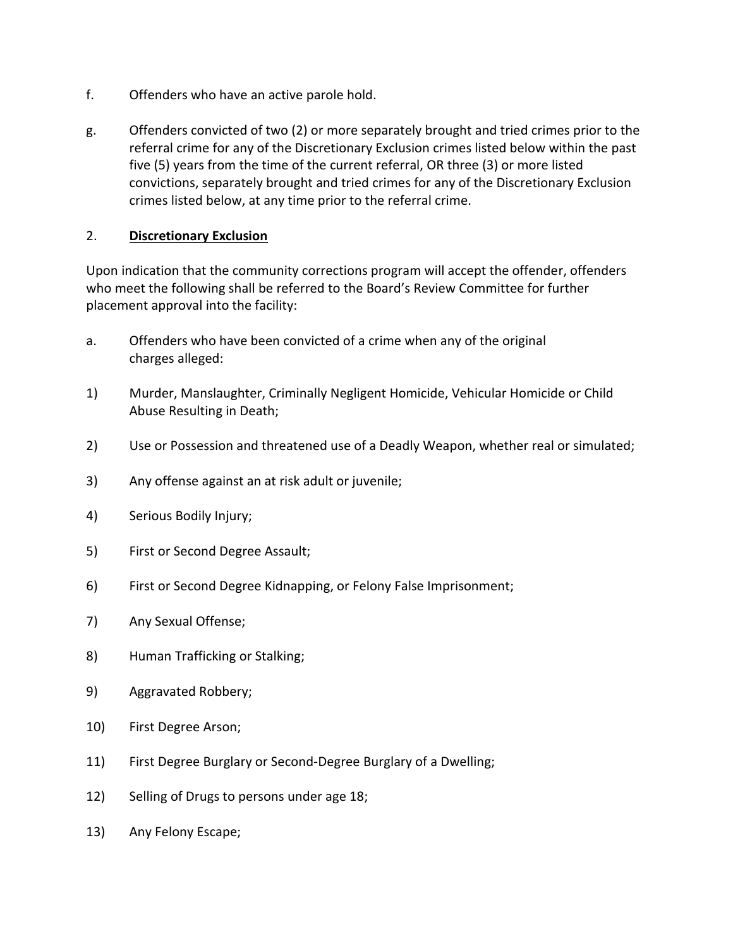- f. Offenders who have an active parole hold.
- g. Offenders convicted of two (2) or more separately brought and tried crimes prior to the referral crime for any of the Discretionary Exclusion crimes listed below within the past five (5) years from the time of the current referral, OR three (3) or more listed convictions, separately brought and tried crimes for any of the Discretionary Exclusion crimes listed below, at any time prior to the referral crime.

## 2. **Discretionary Exclusion**

Upon indication that the community corrections program will accept the offender, offenders who meet the following shall be referred to the Board's Review Committee for further placement approval into the facility:

- a. Offenders who have been convicted of a crime when any of the original charges alleged:
- 1) Murder, Manslaughter, Criminally Negligent Homicide, Vehicular Homicide or Child Abuse Resulting in Death;
- 2) Use or Possession and threatened use of a Deadly Weapon, whether real or simulated;
- 3) Any offense against an at risk adult or juvenile;
- 4) Serious Bodily Injury;
- 5) First or Second Degree Assault;
- 6) First or Second Degree Kidnapping, or Felony False Imprisonment;
- 7) Any Sexual Offense;
- 8) Human Trafficking or Stalking;
- 9) Aggravated Robbery;
- 10) First Degree Arson;
- 11) First Degree Burglary or Second-Degree Burglary of a Dwelling;
- 12) Selling of Drugs to persons under age 18;
- 13) Any Felony Escape;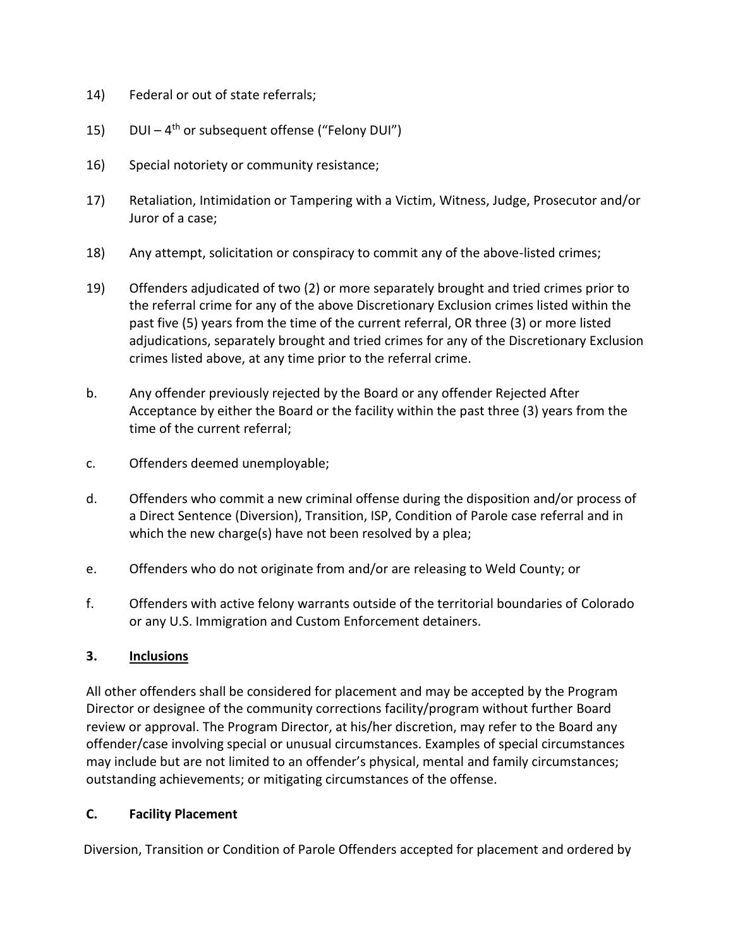- 14) Federal or out of state referrals;
- 15) DUI 4<sup>th</sup> or subsequent offense ("Felony DUI")
- 16) Special notoriety or community resistance;
- 17) Retaliation, Intimidation or Tampering with a Victim, Witness, Judge, Prosecutor and/or Juror of a case;
- 18) Any attempt, solicitation or conspiracy to commit any of the above-listed crimes;
- 19) Offenders adjudicated of two (2) or more separately brought and tried crimes prior to the referral crime for any of the above Discretionary Exclusion crimes listed within the past five (5) years from the time of the current referral, OR three (3) or more listed adjudications, separately brought and tried crimes for any of the Discretionary Exclusion crimes listed above, at any time prior to the referral crime.
- b. Any offender previously rejected by the Board or any offender Rejected After Acceptance by either the Board or the facility within the past three (3) years from the time of the current referral;
- c. Offenders deemed unemployable;
- d. Offenders who commit a new criminal offense during the disposition and/or process of a Direct Sentence (Diversion), Transition, ISP, Condition of Parole case referral and in which the new charge(s) have not been resolved by a plea;
- e. Offenders who do not originate from and/or are releasing to Weld County; or
- f. Offenders with active felony warrants outside of the territorial boundaries of Colorado or any U.S. Immigration and Custom Enforcement detainers.

#### **3. Inclusions**

All other offenders shall be considered for placement and may be accepted by the Program Director or designee of the community corrections facility/program without further Board review or approval. The Program Director, at his/her discretion, may refer to the Board any offender/case involving special or unusual circumstances. Examples of special circumstances may include but are not limited to an offender's physical, mental and family circumstances; outstanding achievements; or mitigating circumstances of the offense.

#### **C. Facility Placement**

Diversion, Transition or Condition of Parole Offenders accepted for placement and ordered by